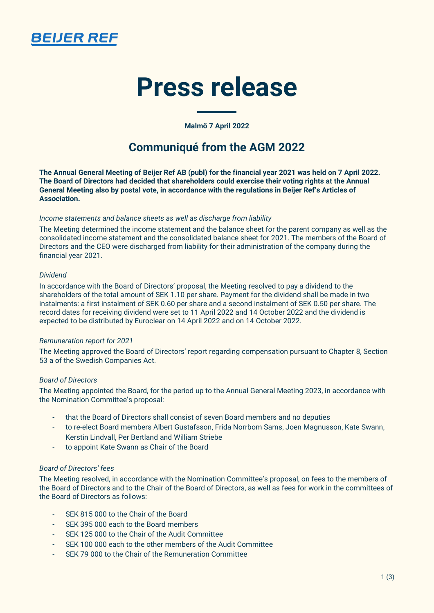

# **Press release**

**Malmö 7 April 2022**

## **Communiqué from the AGM 2022**

**The Annual General Meeting of Beijer Ref AB (publ) for the financial year 2021 was held on 7 April 2022. The Board of Directors had decided that shareholders could exercise their voting rights at the Annual General Meeting also by postal vote, in accordance with the regulations in Beijer Ref's Articles of Association.**

#### *Income statements and balance sheets as well as discharge from liability*

The Meeting determined the income statement and the balance sheet for the parent company as well as the consolidated income statement and the consolidated balance sheet for 2021. The members of the Board of Directors and the CEO were discharged from liability for their administration of the company during the financial year 2021.

#### *Dividend*

In accordance with the Board of Directors' proposal, the Meeting resolved to pay a dividend to the shareholders of the total amount of SEK 1.10 per share. Payment for the dividend shall be made in two instalments: a first instalment of SEK 0.60 per share and a second instalment of SEK 0.50 per share. The record dates for receiving dividend were set to 11 April 2022 and 14 October 2022 and the dividend is expected to be distributed by Euroclear on 14 April 2022 and on 14 October 2022.

### *Remuneration report for 2021*

The Meeting approved the Board of Directors' report regarding compensation pursuant to Chapter 8, Section 53 a of the Swedish Companies Act.

### *Board of Directors*

The Meeting appointed the Board, for the period up to the Annual General Meeting 2023, in accordance with the Nomination Committee's proposal:

- that the Board of Directors shall consist of seven Board members and no deputies
- to re-elect Board members Albert Gustafsson, Frida Norrbom Sams, Joen Magnusson, Kate Swann, Kerstin Lindvall, Per Bertland and William Striebe
- to appoint Kate Swann as Chair of the Board

### *Board of Directors' fees*

The Meeting resolved, in accordance with the Nomination Committee's proposal, on fees to the members of the Board of Directors and to the Chair of the Board of Directors, as well as fees for work in the committees of the Board of Directors as follows:

- SEK 815 000 to the Chair of the Board
- SEK 395,000 each to the Board members
- SEK 125 000 to the Chair of the Audit Committee
- SEK 100 000 each to the other members of the Audit Committee
- SEK 79 000 to the Chair of the Remuneration Committee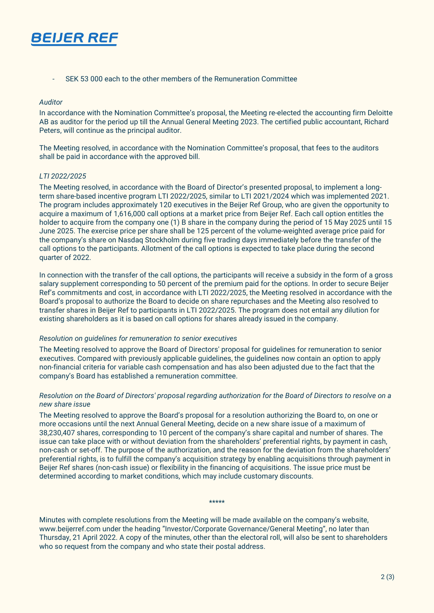

- SEK 53 000 each to the other members of the Remuneration Committee

#### *Auditor*

In accordance with the Nomination Committee's proposal, the Meeting re-elected the accounting firm Deloitte AB as auditor for the period up till the Annual General Meeting 2023. The certified public accountant, Richard Peters, will continue as the principal auditor.

The Meeting resolved, in accordance with the Nomination Committee's proposal, that fees to the auditors shall be paid in accordance with the approved bill.

#### *LTI 2022/2025*

The Meeting resolved, in accordance with the Board of Director's presented proposal, to implement a longterm share-based incentive program LTI 2022/2025, similar to LTI 2021/2024 which was implemented 2021. The program includes approximately 120 executives in the Beijer Ref Group, who are given the opportunity to acquire a maximum of 1,616,000 call options at a market price from Beijer Ref. Each call option entitles the holder to acquire from the company one (1) B share in the company during the period of 15 May 2025 until 15 June 2025. The exercise price per share shall be 125 percent of the volume-weighted average price paid for the company's share on Nasdaq Stockholm during five trading days immediately before the transfer of the call options to the participants. Allotment of the call options is expected to take place during the second quarter of 2022.

In connection with the transfer of the call options, the participants will receive a subsidy in the form of a gross salary supplement corresponding to 50 percent of the premium paid for the options. In order to secure Beijer Ref's commitments and cost, in accordance with LTI 2022/2025, the Meeting resolved in accordance with the Board's proposal to authorize the Board to decide on share repurchases and the Meeting also resolved to transfer shares in Beijer Ref to participants in LTI 2022/2025. The program does not entail any dilution for existing shareholders as it is based on call options for shares already issued in the company.

#### *Resolution on guidelines for remuneration to senior executives*

The Meeting resolved to approve the Board of Directors' proposal for guidelines for remuneration to senior executives. Compared with previously applicable guidelines, the guidelines now contain an option to apply non-financial criteria for variable cash compensation and has also been adjusted due to the fact that the company's Board has established a remuneration committee.

#### *Resolution on the Board of Directors' proposal regarding authorization for the Board of Directors to resolve on a new share issue*

The Meeting resolved to approve the Board's proposal for a resolution authorizing the Board to, on one or more occasions until the next Annual General Meeting, decide on a new share issue of a maximum of 38,230,407 shares, corresponding to 10 percent of the company's share capital and number of shares. The issue can take place with or without deviation from the shareholders' preferential rights, by payment in cash, non-cash or set-off. The purpose of the authorization, and the reason for the deviation from the shareholders' preferential rights, is to fulfill the company's acquisition strategy by enabling acquisitions through payment in Beijer Ref shares (non-cash issue) or flexibility in the financing of acquisitions. The issue price must be determined according to market conditions, which may include customary discounts.

#### \*\*\*\*\*

Minutes with complete resolutions from the Meeting will be made available on the company's website, www.beijerref.com under the heading "Investor/Corporate Governance/General Meeting", no later than Thursday, 21 April 2022. A copy of the minutes, other than the electoral roll, will also be sent to shareholders who so request from the company and who state their postal address.